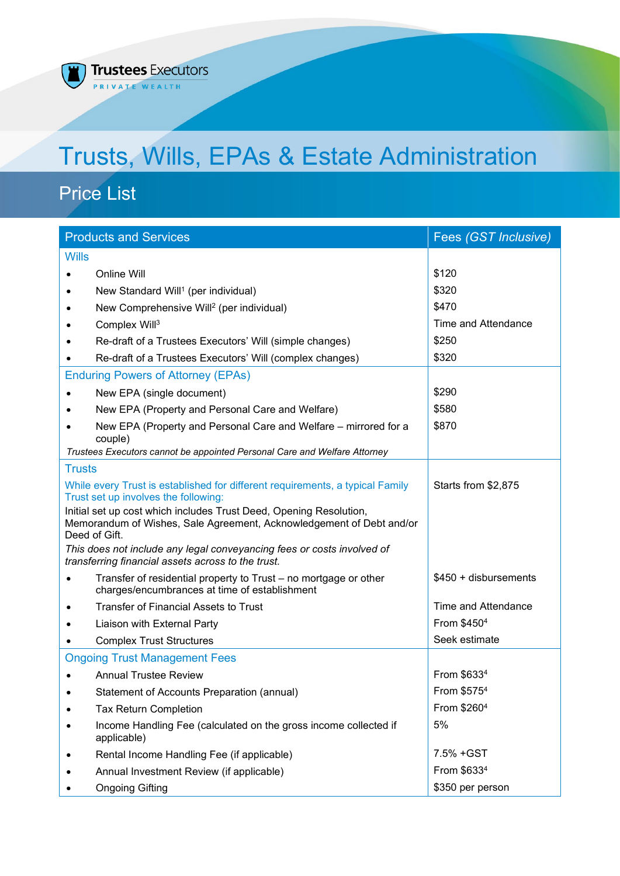#### **Trustees Executors**  $\overline{0}$ T) PRIVATE WEALTH

# Trusts, Wills, EPAs & Estate Administration

## Price List

| <b>Products and Services</b>                                                                                          |  | Fees (GST Inclusive)   |
|-----------------------------------------------------------------------------------------------------------------------|--|------------------------|
| <b>Wills</b>                                                                                                          |  |                        |
| Online Will                                                                                                           |  | \$120                  |
| New Standard Will <sup>1</sup> (per individual)                                                                       |  | \$320                  |
| New Comprehensive Will <sup>2</sup> (per individual)                                                                  |  | \$470                  |
| Complex Will <sup>3</sup>                                                                                             |  | Time and Attendance    |
| Re-draft of a Trustees Executors' Will (simple changes)                                                               |  | \$250                  |
| Re-draft of a Trustees Executors' Will (complex changes)                                                              |  | \$320                  |
| <b>Enduring Powers of Attorney (EPAs)</b>                                                                             |  |                        |
| New EPA (single document)                                                                                             |  | \$290                  |
| New EPA (Property and Personal Care and Welfare)                                                                      |  | \$580                  |
| New EPA (Property and Personal Care and Welfare – mirrored for a                                                      |  | \$870                  |
| couple)<br>Trustees Executors cannot be appointed Personal Care and Welfare Attorney                                  |  |                        |
| <b>Trusts</b>                                                                                                         |  |                        |
|                                                                                                                       |  | Starts from \$2,875    |
| While every Trust is established for different requirements, a typical Family<br>Trust set up involves the following: |  |                        |
| Initial set up cost which includes Trust Deed, Opening Resolution,                                                    |  |                        |
| Memorandum of Wishes, Sale Agreement, Acknowledgement of Debt and/or<br>Deed of Gift.                                 |  |                        |
| This does not include any legal conveyancing fees or costs involved of                                                |  |                        |
| transferring financial assets across to the trust.                                                                    |  |                        |
| Transfer of residential property to Trust – no mortgage or other<br>charges/encumbrances at time of establishment     |  | $$450 + disbursements$ |
| <b>Transfer of Financial Assets to Trust</b>                                                                          |  | Time and Attendance    |
| Liaison with External Party                                                                                           |  | From \$4504            |
| <b>Complex Trust Structures</b>                                                                                       |  | Seek estimate          |
| <b>Ongoing Trust Management Fees</b>                                                                                  |  |                        |
| <b>Annual Trustee Review</b>                                                                                          |  | From \$6334            |
| Statement of Accounts Preparation (annual)                                                                            |  | From \$5754            |
| <b>Tax Return Completion</b>                                                                                          |  | From \$2604            |
| Income Handling Fee (calculated on the gross income collected if<br>applicable)                                       |  | 5%                     |
| Rental Income Handling Fee (if applicable)                                                                            |  | 7.5% + GST             |
| Annual Investment Review (if applicable)                                                                              |  | From \$6334            |
| <b>Ongoing Gifting</b>                                                                                                |  | \$350 per person       |